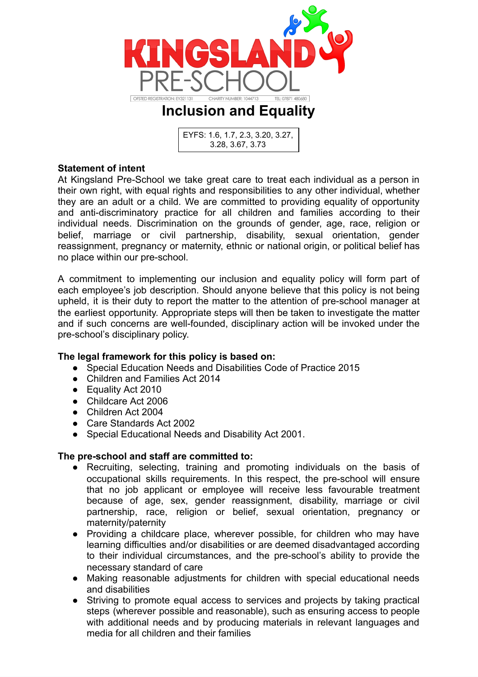



# **Statement of intent**

At Kingsland Pre-School we take great care to treat each individual as a person in their own right, with equal rights and responsibilities to any other individual, whether they are an adult or a child. We are committed to providing equality of opportunity and anti-discriminatory practice for all children and families according to their individual needs. Discrimination on the grounds of gender, age, race, religion or belief, marriage or civil partnership, disability, sexual orientation, gender reassignment, pregnancy or maternity, ethnic or national origin, or political belief has no place within our pre-school.

A commitment to implementing our inclusion and equality policy will form part of each employee's job description. Should anyone believe that this policy is not being upheld, it is their duty to report the matter to the attention of pre-school manager at the earliest opportunity. Appropriate steps will then be taken to investigate the matter and if such concerns are well-founded, disciplinary action will be invoked under the pre-school's disciplinary policy.

## **The legal framework for this policy is based on:**

- Special Education Needs and Disabilities Code of Practice 2015
- Children and Families Act 2014
- Equality Act 2010
- Childcare Act 2006
- Children Act 2004
- Care Standards Act 2002
- Special Educational Needs and Disability Act 2001.

## **The pre-school and staff are committed to:**

- Recruiting, selecting, training and promoting individuals on the basis of occupational skills requirements. In this respect, the pre-school will ensure that no job applicant or employee will receive less favourable treatment because of age, sex, gender reassignment, disability, marriage or civil partnership, race, religion or belief, sexual orientation, pregnancy or maternity/paternity
- Providing a childcare place, wherever possible, for children who may have learning difficulties and/or disabilities or are deemed disadvantaged according to their individual circumstances, and the pre-school's ability to provide the necessary standard of care
- Making reasonable adjustments for children with special educational needs and disabilities
- Striving to promote equal access to services and projects by taking practical steps (wherever possible and reasonable), such as ensuring access to people with additional needs and by producing materials in relevant languages and media for all children and their families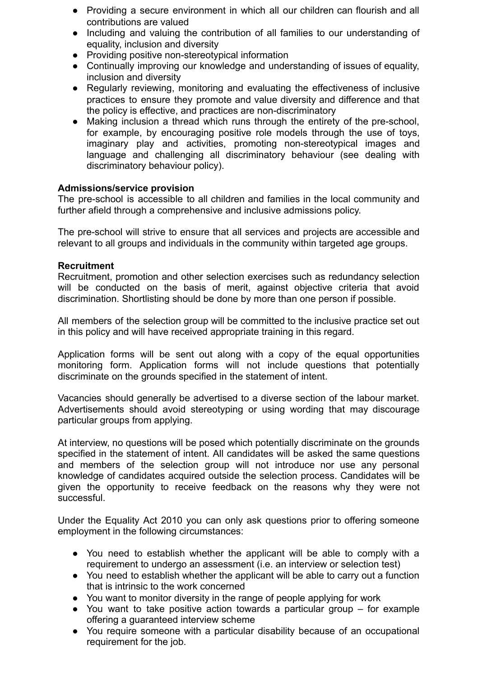- Providing a secure environment in which all our children can flourish and all contributions are valued
- Including and valuing the contribution of all families to our understanding of equality, inclusion and diversity
- Providing positive non-stereotypical information
- Continually improving our knowledge and understanding of issues of equality, inclusion and diversity
- Regularly reviewing, monitoring and evaluating the effectiveness of inclusive practices to ensure they promote and value diversity and difference and that the policy is effective, and practices are non-discriminatory
- Making inclusion a thread which runs through the entirety of the pre-school, for example, by encouraging positive role models through the use of toys, imaginary play and activities, promoting non-stereotypical images and language and challenging all discriminatory behaviour (see dealing with discriminatory behaviour policy).

## **Admissions/service provision**

The pre-school is accessible to all children and families in the local community and further afield through a comprehensive and inclusive admissions policy.

The pre-school will strive to ensure that all services and projects are accessible and relevant to all groups and individuals in the community within targeted age groups.

## **Recruitment**

Recruitment, promotion and other selection exercises such as redundancy selection will be conducted on the basis of merit, against objective criteria that avoid discrimination. Shortlisting should be done by more than one person if possible.

All members of the selection group will be committed to the inclusive practice set out in this policy and will have received appropriate training in this regard.

Application forms will be sent out along with a copy of the equal opportunities monitoring form. Application forms will not include questions that potentially discriminate on the grounds specified in the statement of intent.

Vacancies should generally be advertised to a diverse section of the labour market. Advertisements should avoid stereotyping or using wording that may discourage particular groups from applying.

At interview, no questions will be posed which potentially discriminate on the grounds specified in the statement of intent. All candidates will be asked the same questions and members of the selection group will not introduce nor use any personal knowledge of candidates acquired outside the selection process. Candidates will be given the opportunity to receive feedback on the reasons why they were not successful.

Under the Equality Act 2010 you can only ask questions prior to offering someone employment in the following circumstances:

- You need to establish whether the applicant will be able to comply with a requirement to undergo an assessment (i.e. an interview or selection test)
- You need to establish whether the applicant will be able to carry out a function that is intrinsic to the work concerned
- You want to monitor diversity in the range of people applying for work
- You want to take positive action towards a particular group for example offering a guaranteed interview scheme
- You require someone with a particular disability because of an occupational requirement for the job.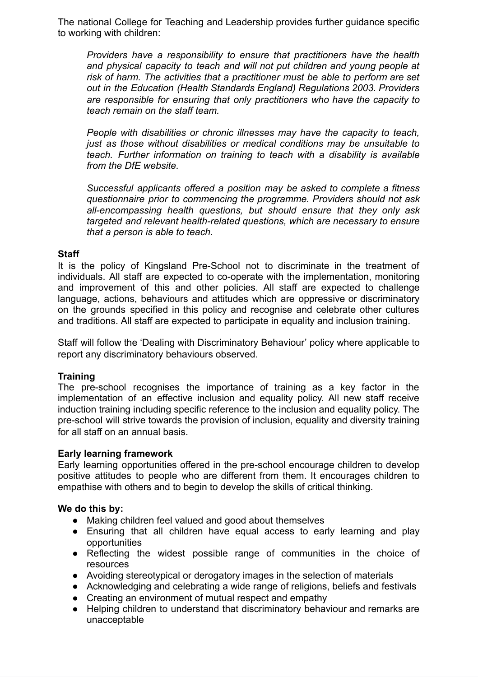The national College for Teaching and Leadership provides further guidance specific to working with children:

*Providers have a responsibility to ensure that practitioners have the health and physical capacity to teach and will not put children and young people at risk of harm. The activities that a practitioner must be able to perform are set out in the Education (Health Standards England) Regulations 2003. Providers are responsible for ensuring that only practitioners who have the capacity to teach remain on the staff team.*

*People with disabilities or chronic illnesses may have the capacity to teach, just as those without disabilities or medical conditions may be unsuitable to teach. Further information on training to teach with a disability is available from the DfE website.*

*Successful applicants offered a position may be asked to complete a fitness questionnaire prior to commencing the programme. Providers should not ask all-encompassing health questions, but should ensure that they only ask targeted and relevant health-related questions, which are necessary to ensure that a person is able to teach.*

### **Staff**

It is the policy of Kingsland Pre-School not to discriminate in the treatment of individuals. All staff are expected to co-operate with the implementation, monitoring and improvement of this and other policies. All staff are expected to challenge language, actions, behaviours and attitudes which are oppressive or discriminatory on the grounds specified in this policy and recognise and celebrate other cultures and traditions. All staff are expected to participate in equality and inclusion training.

Staff will follow the 'Dealing with Discriminatory Behaviour' policy where applicable to report any discriminatory behaviours observed.

### **Training**

The pre-school recognises the importance of training as a key factor in the implementation of an effective inclusion and equality policy. All new staff receive induction training including specific reference to the inclusion and equality policy. The pre-school will strive towards the provision of inclusion, equality and diversity training for all staff on an annual basis.

### **Early learning framework**

Early learning opportunities offered in the pre-school encourage children to develop positive attitudes to people who are different from them. It encourages children to empathise with others and to begin to develop the skills of critical thinking.

### **We do this by:**

- Making children feel valued and good about themselves
- Ensuring that all children have equal access to early learning and play opportunities
- Reflecting the widest possible range of communities in the choice of resources
- Avoiding stereotypical or derogatory images in the selection of materials
- Acknowledging and celebrating a wide range of religions, beliefs and festivals
- Creating an environment of mutual respect and empathy
- Helping children to understand that discriminatory behaviour and remarks are unacceptable